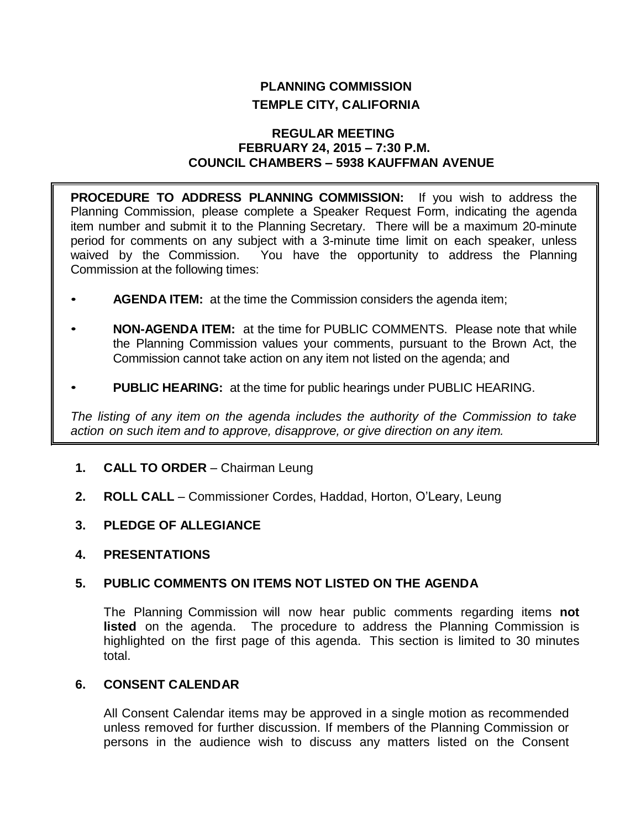# **PLANNING COMMISSION TEMPLE CITY, CALIFORNIA**

#### **REGULAR MEETING FEBRUARY 24, 2015 – 7:30 P.M. COUNCIL CHAMBERS – 5938 KAUFFMAN AVENUE**

**PROCEDURE TO ADDRESS PLANNING COMMISSION:** If you wish to address the Planning Commission, please complete a Speaker Request Form, indicating the agenda item number and submit it to the Planning Secretary. There will be a maximum 20-minute period for comments on any subject with a 3-minute time limit on each speaker, unless waived by the Commission. You have the opportunity to address the Planning Commission at the following times:

- **AGENDA ITEM:** at the time the Commission considers the agenda item;
- **NON-AGENDA ITEM:** at the time for PUBLIC COMMENTS. Please note that while the Planning Commission values your comments, pursuant to the Brown Act, the Commission cannot take action on any item not listed on the agenda; and
- **PUBLIC HEARING:** at the time for public hearings under PUBLIC HEARING.

*The listing of any item on the agenda includes the authority of the Commission to take action on such item and to approve, disapprove, or give direction on any item.*

- **1. CALL TO ORDER**  Chairman Leung
- **2. ROLL CALL**  Commissioner Cordes, Haddad, Horton, O'Leary, Leung
- **3. PLEDGE OF ALLEGIANCE**
- **4. PRESENTATIONS**

## **5. PUBLIC COMMENTS ON ITEMS NOT LISTED ON THE AGENDA**

The Planning Commission will now hear public comments regarding items **not listed** on the agenda. The procedure to address the Planning Commission is highlighted on the first page of this agenda. This section is limited to 30 minutes total.

#### **6. CONSENT CALENDAR**

All Consent Calendar items may be approved in a single motion as recommended unless removed for further discussion. If members of the Planning Commission or persons in the audience wish to discuss any matters listed on the Consent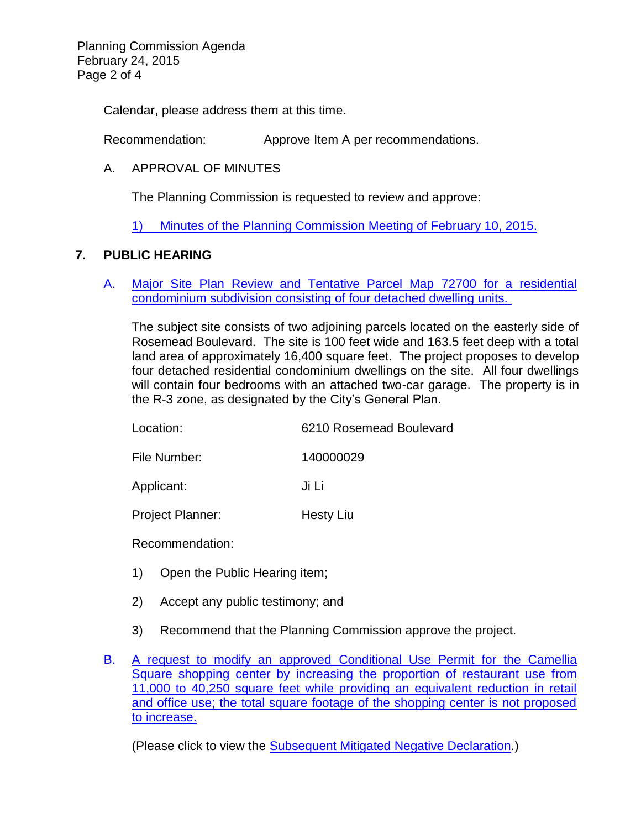Planning Commission Agenda February 24, 2015 Page 2 of 4

Calendar, please address them at this time.

Recommendation: Approve Item A per recommendations.

## A. APPROVAL OF MINUTES

The Planning Commission is requested to review and approve:

1) Minutes of the [Planning Commission Meeting](http://ca-templecity.civicplus.com/DocumentCenter/View/2568) of February 10, 2015.

## **7. PUBLIC HEARING**

A. [Major Site Plan Review and Tentative Parcel Map 72700 for a residential](http://ca-templecity.civicplus.com/DocumentCenter/View/2566)  [condominium subdivision consisting of four detached dwelling units.](http://ca-templecity.civicplus.com/DocumentCenter/View/2566)

The subject site consists of two adjoining parcels located on the easterly side of Rosemead Boulevard. The site is 100 feet wide and 163.5 feet deep with a total land area of approximately 16,400 square feet. The project proposes to develop four detached residential condominium dwellings on the site. All four dwellings will contain four bedrooms with an attached two-car garage. The property is in the R-3 zone, as designated by the City's General Plan.

| Location: | 6210 Rosemead Boulevard |
|-----------|-------------------------|
|           |                         |

File Number: 140000029

Applicant: Ji Li

Project Planner: Hesty Liu

Recommendation:

- 1) Open the Public Hearing item;
- 2) Accept any public testimony; and
- 3) Recommend that the Planning Commission approve the project.
- B. [A request to modify an approved Conditional Use Permit for the Camellia](http://ca-templecity.civicplus.com/DocumentCenter/View/2576)  [Square shopping center by increasing the proportion of restaurant use from](http://ca-templecity.civicplus.com/DocumentCenter/View/2576)  [11,000 to 40,250 square feet while providing an equivalent reduction in retail](http://ca-templecity.civicplus.com/DocumentCenter/View/2576)  [and office use; the total square footage of the shopping center is not proposed](http://ca-templecity.civicplus.com/DocumentCenter/View/2576)  [to increase.](http://ca-templecity.civicplus.com/DocumentCenter/View/2576)

(Please click to view the [Subsequent Mitigated Negative Declaration.](http://www.templecity.us/DocumentCenter/View/2572))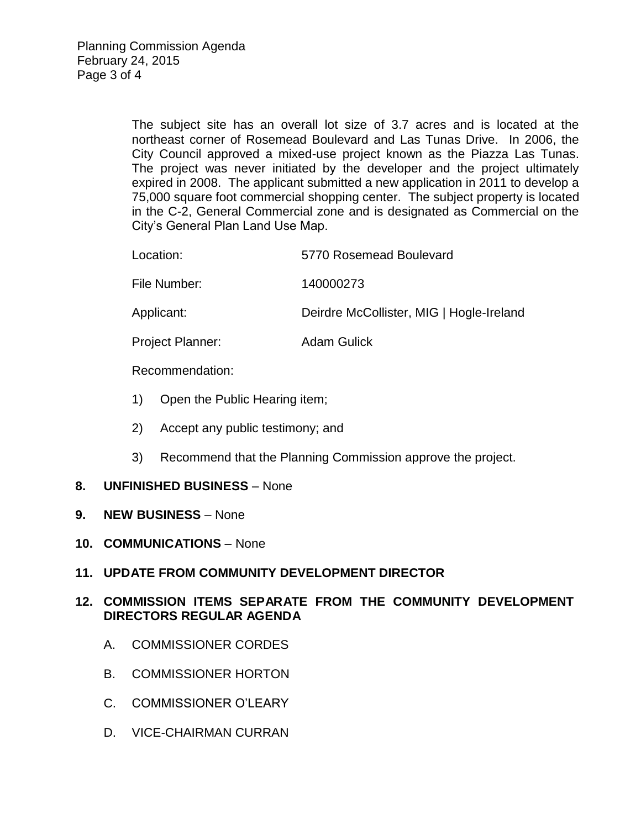The subject site has an overall lot size of 3.7 acres and is located at the northeast corner of Rosemead Boulevard and Las Tunas Drive. In 2006, the City Council approved a mixed-use project known as the Piazza Las Tunas. The project was never initiated by the developer and the project ultimately expired in 2008. The applicant submitted a new application in 2011 to develop a 75,000 square foot commercial shopping center. The subject property is located in the C-2, General Commercial zone and is designated as Commercial on the City's General Plan Land Use Map.

| Location:        | 5770 Rosemead Boulevard                  |
|------------------|------------------------------------------|
| File Number:     | 140000273                                |
| Applicant:       | Deirdre McCollister, MIG   Hogle-Ireland |
| Project Planner: | <b>Adam Gulick</b>                       |
| Recommendation:  |                                          |

- 1) Open the Public Hearing item;
- 2) Accept any public testimony; and
- 3) Recommend that the Planning Commission approve the project.

## **8. UNFINISHED BUSINESS** – None

- **9. NEW BUSINESS** None
- **10. COMMUNICATIONS** None
- **11. UPDATE FROM COMMUNITY DEVELOPMENT DIRECTOR**

## **12. COMMISSION ITEMS SEPARATE FROM THE COMMUNITY DEVELOPMENT DIRECTORS REGULAR AGENDA**

- A. COMMISSIONER CORDES
- B. COMMISSIONER HORTON
- C. COMMISSIONER O'LEARY
- D. VICE-CHAIRMAN CURRAN